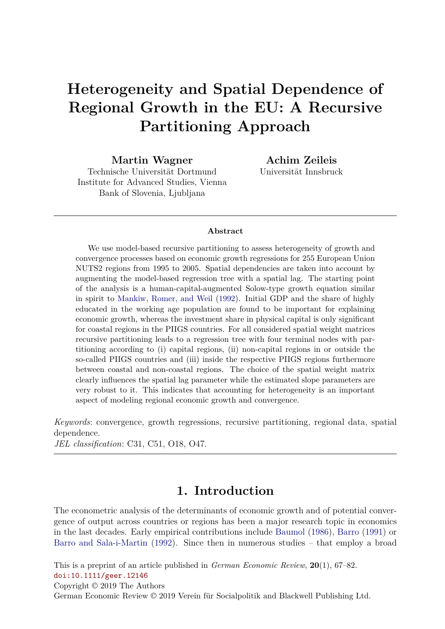# **Heterogeneity and Spatial Dependence of Regional Growth in the EU: A Recursive Partitioning Approach**

**Martin Wagner** Technische Universität Dortmund Institute for Advanced Studies, Vienna Bank of Slovenia, Ljubljana

**Achim Zeileis** Universität Innsbruck

#### **Abstract**

We use model-based recursive partitioning to assess heterogeneity of growth and convergence processes based on economic growth regressions for 255 European Union NUTS2 regions from 1995 to 2005. Spatial dependencies are taken into account by augmenting the model-based regression tree with a spatial lag. The starting point of the analysis is a human-capital-augmented Solow-type growth equation similar in spirit to [Mankiw, Romer, and Weil](#page-16-0) [\(1992\)](#page-16-0). Initial GDP and the share of highly educated in the working age population are found to be important for explaining economic growth, whereas the investment share in physical capital is only significant for coastal regions in the PIIGS countries. For all considered spatial weight matrices recursive partitioning leads to a regression tree with four terminal nodes with partitioning according to (i) capital regions, (ii) non-capital regions in or outside the so-called PIIGS countries and (iii) inside the respective PIIGS regions furthermore between coastal and non-coastal regions. The choice of the spatial weight matrix clearly influences the spatial lag parameter while the estimated slope parameters are very robust to it. This indicates that accounting for heterogeneity is an important aspect of modeling regional economic growth and convergence.

*Keywords*: convergence, growth regressions, recursive partitioning, regional data, spatial dependence.

*JEL classification*: C31, C51, O18, O47.

# **1. Introduction**

The econometric analysis of the determinants of economic growth and of potential convergence of output across countries or regions has been a major research topic in economics in the last decades. Early empirical contributions include [Baumol](#page-14-0) [\(1986\)](#page-14-0), [Barro](#page-14-1) [\(1991\)](#page-14-1) or [Barro and Sala-i-Martin](#page-14-2) [\(1992\)](#page-14-2). Since then in numerous studies – that employ a broad

This is a preprint of an article published in *German Economic Review*, **20**(1), 67–82. [doi:10.1111/geer.12146](http://dx.doi.org/10.1111/geer.12146) Copyright © 2019 The Authors German Economic Review © 2019 Verein für Socialpolitik and Blackwell Publishing Ltd.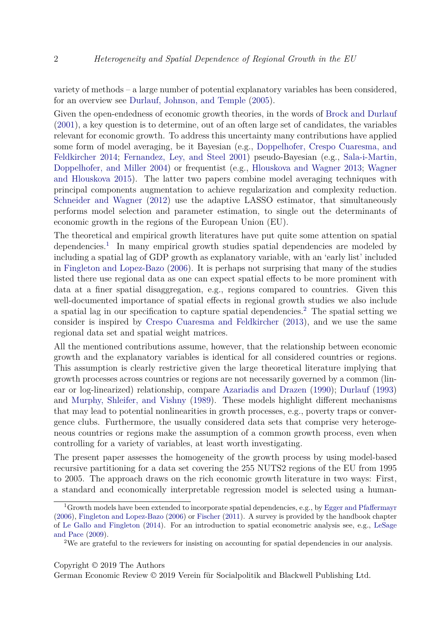variety of methods – a large number of potential explanatory variables has been considered, for an overview see [Durlauf, Johnson, and Temple](#page-15-0) [\(2005\)](#page-15-0).

Given the open-endedness of economic growth theories, in the words of [Brock and Durlauf](#page-14-3) [\(2001\)](#page-14-3), a key question is to determine, out of an often large set of candidates, the variables relevant for economic growth. To address this uncertainty many contributions have applied some form of model averaging, be it Bayesian (e.g., [Doppelhofer, Crespo Cuaresma, and](#page-15-1) [Feldkircher](#page-15-1) [2014;](#page-15-1) [Fernandez, Ley, and Steel](#page-15-2) [2001\)](#page-15-2) pseudo-Bayesian (e.g., [Sala-i-Martin,](#page-16-1) [Doppelhofer, and Miller](#page-16-1) [2004\)](#page-16-1) or frequentist (e.g., [Hlouskova and Wagner](#page-16-2) [2013;](#page-16-2) [Wagner](#page-17-0) [and Hlouskova](#page-17-0) [2015\)](#page-17-0). The latter two papers combine model averaging techniques with principal components augmentation to achieve regularization and complexity reduction. [Schneider and Wagner](#page-17-1) [\(2012\)](#page-17-1) use the adaptive LASSO estimator, that simultaneously performs model selection and parameter estimation, to single out the determinants of economic growth in the regions of the European Union (EU).

The theoretical and empirical growth literatures have put quite some attention on spatial dependencies.<sup>[1](#page-1-0)</sup> In many empirical growth studies spatial dependencies are modeled by including a spatial lag of GDP growth as explanatory variable, with an 'early list' included in [Fingleton and Lopez-Bazo](#page-15-3) [\(2006\)](#page-15-3). It is perhaps not surprising that many of the studies listed there use regional data as one can expect spatial effects to be more prominent with data at a finer spatial disaggregation, e.g., regions compared to countries. Given this well-documented importance of spatial effects in regional growth studies we also include a spatial lag in our specification to capture spatial dependencies.[2](#page-1-1) The spatial setting we consider is inspired by [Crespo Cuaresma and Feldkircher](#page-14-4) [\(2013\)](#page-14-4), and we use the same regional data set and spatial weight matrices.

All the mentioned contributions assume, however, that the relationship between economic growth and the explanatory variables is identical for all considered countries or regions. This assumption is clearly restrictive given the large theoretical literature implying that growth processes across countries or regions are not necessarily governed by a common (linear or log-linearized) relationship, compare [Azariadis and Drazen](#page-14-5) [\(1990\)](#page-14-5); [Durlauf](#page-15-4) [\(1993\)](#page-15-4) and [Murphy, Shleifer, and Vishny](#page-16-3) [\(1989\)](#page-16-3). These models highlight different mechanisms that may lead to potential nonlinearities in growth processes, e.g., poverty traps or convergence clubs. Furthermore, the usually considered data sets that comprise very heterogeneous countries or regions make the assumption of a common growth process, even when controlling for a variety of variables, at least worth investigating.

The present paper assesses the homogeneity of the growth process by using model-based recursive partitioning for a data set covering the 255 NUTS2 regions of the EU from 1995 to 2005. The approach draws on the rich economic growth literature in two ways: First, a standard and economically interpretable regression model is selected using a human-

<span id="page-1-0"></span><sup>&</sup>lt;sup>1</sup>Growth models have been extended to incorporate spatial dependencies, e.g., by [Egger and Pfaffermayr](#page-15-5) [\(2006\)](#page-15-5), [Fingleton and Lopez-Bazo](#page-15-3) [\(2006\)](#page-15-3) or [Fischer](#page-15-6) [\(2011\)](#page-15-6). A survey is provided by the handbook chapter of [Le Gallo and Fingleton](#page-16-4) [\(2014\)](#page-16-4). For an introduction to spatial econometric analysis see, e.g., [LeSage](#page-16-5) [and Pace](#page-16-5) [\(2009\)](#page-16-5).

<span id="page-1-1"></span><sup>&</sup>lt;sup>2</sup>We are grateful to the reviewers for insisting on accounting for spatial dependencies in our analysis.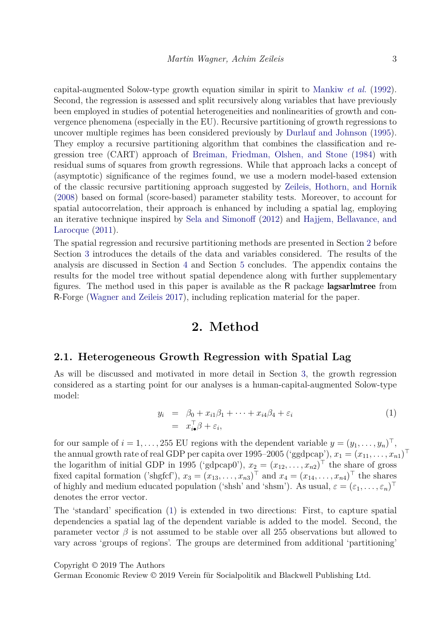capital-augmented Solow-type growth equation similar in spirit to [Mankiw](#page-16-0) *et al.* [\(1992\)](#page-16-0). Second, the regression is assessed and split recursively along variables that have previously been employed in studies of potential heterogeneities and nonlinearities of growth and convergence phenomena (especially in the EU). Recursive partitioning of growth regressions to uncover multiple regimes has been considered previously by [Durlauf and Johnson](#page-15-7) [\(1995\)](#page-15-7). They employ a recursive partitioning algorithm that combines the classification and regression tree (CART) approach of [Breiman, Friedman, Olshen, and Stone](#page-14-6) [\(1984\)](#page-14-6) with residual sums of squares from growth regressions. While that approach lacks a concept of (asymptotic) significance of the regimes found, we use a modern model-based extension of the classic recursive partitioning approach suggested by [Zeileis, Hothorn, and Hornik](#page-17-2) [\(2008\)](#page-17-2) based on formal (score-based) parameter stability tests. Moreover, to account for spatial autocorrelation, their approach is enhanced by including a spatial lag, employing an iterative technique inspired by [Sela and Simonoff](#page-17-3) [\(2012\)](#page-17-3) and [Hajjem, Bellavance, and](#page-16-6) [Larocque](#page-16-6) [\(2011\)](#page-16-6).

The spatial regression and recursive partitioning methods are presented in Section [2](#page-2-0) before Section [3](#page-5-0) introduces the details of the data and variables considered. The results of the analysis are discussed in Section [4](#page-8-0) and Section [5](#page-13-0) concludes. The appendix contains the results for the model tree without spatial dependence along with further supplementary figures. The method used in this paper is available as the R package lagsarlmtree from R-Forge [\(Wagner and Zeileis](#page-17-4) [2017\)](#page-17-4), including replication material for the paper.

## **2. Method**

#### <span id="page-2-0"></span>**2.1. Heterogeneous Growth Regression with Spatial Lag**

As will be discussed and motivated in more detail in Section [3,](#page-5-0) the growth regression considered as a starting point for our analyses is a human-capital-augmented Solow-type model:

<span id="page-2-1"></span>
$$
y_i = \beta_0 + x_{i1}\beta_1 + \dots + x_{i4}\beta_4 + \varepsilon_i
$$
  
=  $x_{i\bullet}^\top \beta + \varepsilon_i,$  (1)

for our sample of  $i = 1, \ldots, 255$  EU regions with the dependent variable  $y = (y_1, \ldots, y_n)^\top$ , the annual growth rate of real GDP per capita over 1995–2005 ('ggdpcap'),  $x_1 = (x_{11}, \ldots, x_{n1})^\top$ the logarithm of initial GDP in 1995 ('gdpcap0'),  $x_2 = (x_{12}, \ldots, x_{n2})^\top$  the share of gross fixed capital formation ('shgfcf'),  $x_3 = (x_{13}, \ldots, x_{n3})^\top$  and  $x_4 = (x_{14}, \ldots, x_{n4})^\top$  the shares of highly and medium educated population ('shsh' and 'shsm'). As usual,  $\varepsilon = (\varepsilon_1, \ldots, \varepsilon_n)^\top$ denotes the error vector.

The 'standard' specification [\(1\)](#page-2-1) is extended in two directions: First, to capture spatial dependencies a spatial lag of the dependent variable is added to the model. Second, the parameter vector  $\beta$  is not assumed to be stable over all 255 observations but allowed to vary across 'groups of regions'. The groups are determined from additional 'partitioning'

Copyright © 2019 The Authors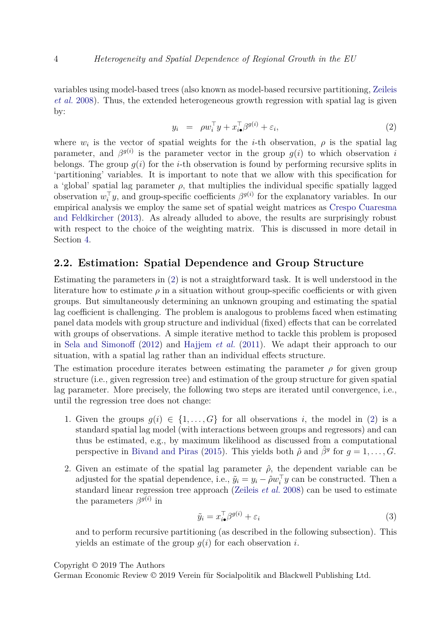variables using model-based trees (also known as model-based recursive partitioning, [Zeileis](#page-17-2) *[et al.](#page-17-2)* [2008\)](#page-17-2). Thus, the extended heterogeneous growth regression with spatial lag is given by:

<span id="page-3-0"></span>
$$
y_i = \rho w_i^{\top} y + x_{i\bullet}^{\top} \beta^{g(i)} + \varepsilon_i,
$$
\n<sup>(2)</sup>

where  $w_i$  is the vector of spatial weights for the *i*-th observation,  $\rho$  is the spatial lag parameter, and  $\beta^{g(i)}$  is the parameter vector in the group  $g(i)$  to which observation *i* belongs. The group  $q(i)$  for the *i*-th observation is found by performing recursive splits in 'partitioning' variables. It is important to note that we allow with this specification for a 'global' spatial lag parameter  $\rho$ , that multiplies the individual specific spatially lagged observation  $w_i^{\top} y$ , and group-specific coefficients  $\beta^{g(i)}$  for the explanatory variables. In our empirical analysis we employ the same set of spatial weight matrices as [Crespo Cuaresma](#page-14-4) [and Feldkircher](#page-14-4) [\(2013\)](#page-14-4). As already alluded to above, the results are surprisingly robust with respect to the choice of the weighting matrix. This is discussed in more detail in Section [4.](#page-8-0)

#### **2.2. Estimation: Spatial Dependence and Group Structure**

Estimating the parameters in [\(2\)](#page-3-0) is not a straightforward task. It is well understood in the literature how to estimate  $\rho$  in a situation without group-specific coefficients or with given groups. But simultaneously determining an unknown grouping and estimating the spatial lag coefficient is challenging. The problem is analogous to problems faced when estimating panel data models with group structure and individual (fixed) effects that can be correlated with groups of observations. A simple iterative method to tackle this problem is proposed in [Sela and Simonoff](#page-17-3) [\(2012\)](#page-17-3) and [Hajjem](#page-16-6) *et al.* [\(2011\)](#page-16-6). We adapt their approach to our situation, with a spatial lag rather than an individual effects structure.

The estimation procedure iterates between estimating the parameter  $\rho$  for given group structure (i.e., given regression tree) and estimation of the group structure for given spatial lag parameter. More precisely, the following two steps are iterated until convergence, i.e., until the regression tree does not change:

- 1. Given the groups  $g(i) \in \{1, ..., G\}$  for all observations *i*, the model in [\(2\)](#page-3-0) is a standard spatial lag model (with interactions between groups and regressors) and can thus be estimated, e.g., by maximum likelihood as discussed from a computational perspective in [Bivand and Piras](#page-14-7) [\(2015\)](#page-14-7). This yields both  $\hat{\rho}$  and  $\hat{\beta}^g$  for  $g = 1, \ldots, G$ .
- 2. Given an estimate of the spatial lag parameter  $\hat{\rho}$ , the dependent variable can be adjusted for the spatial dependence, i.e.,  $\tilde{y}_i = y_i - \hat{\rho} w_i^{\top} y$  can be constructed. Then a standard linear regression tree approach [\(Zeileis](#page-17-2) *et al.* [2008\)](#page-17-2) can be used to estimate the parameters  $\beta^{g(i)}$  in

<span id="page-3-1"></span>
$$
\tilde{y}_i = x_{i\bullet}^\top \beta^{g(i)} + \varepsilon_i \tag{3}
$$

and to perform recursive partitioning (as described in the following subsection). This yields an estimate of the group  $g(i)$  for each observation *i*.

Copyright © 2019 The Authors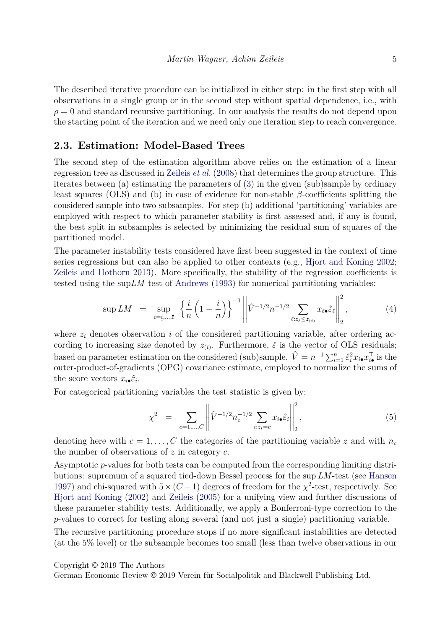The described iterative procedure can be initialized in either step: in the first step with all observations in a single group or in the second step without spatial dependence, i.e., with  $\rho = 0$  and standard recursive partitioning. In our analysis the results do not depend upon the starting point of the iteration and we need only one iteration step to reach convergence.

### **2.3. Estimation: Model-Based Trees**

The second step of the estimation algorithm above relies on the estimation of a linear regression tree as discussed in [Zeileis](#page-17-2) *et al.* [\(2008\)](#page-17-2) that determines the group structure. This iterates between (a) estimating the parameters of [\(3\)](#page-3-1) in the given (sub)sample by ordinary least squares (OLS) and (b) in case of evidence for non-stable *β*-coefficients splitting the considered sample into two subsamples. For step (b) additional 'partitioning' variables are employed with respect to which parameter stability is first assessed and, if any is found, the best split in subsamples is selected by minimizing the residual sum of squares of the partitioned model.

The parameter instability tests considered have first been suggested in the context of time series regressions but can also be applied to other contexts (e.g., [Hjort and Koning](#page-16-7) [2002;](#page-16-7) [Zeileis and Hothorn](#page-17-5) [2013\)](#page-17-5). More specifically, the stability of the regression coefficients is tested using the sup  $LM$  test of [Andrews](#page-14-8) [\(1993\)](#page-14-8) for numerical partitioning variables:

$$
\sup LM = \sup_{i=i,...,\bar{i}} \left\{ \frac{i}{n} \left( 1 - \frac{i}{n} \right) \right\}^{-1} \left\| \hat{V}^{-1/2} n^{-1/2} \sum_{\ell: z_{\ell} \le z_{(i)}} x_{\ell \bullet} \hat{\varepsilon}_{\ell} \right\|_{2}^{2}, \tag{4}
$$

where  $z_i$  denotes observation *i* of the considered partitioning variable, after ordering according to increasing size denoted by  $z_{(i)}$ . Furthermore,  $\hat{\varepsilon}$  is the vector of OLS residuals; based on parameter estimation on the considered (sub)sample.  $\hat{V} = n^{-1} \sum_{i=1}^{n} \hat{\epsilon}_i^2 x_{i\bullet} x_{i\bullet}^\top$  is the outer-product-of-gradients (OPG) covariance estimate, employed to normalize the sums of the score vectors  $x_i \hat{\epsilon}_i$ .

For categorical partitioning variables the test statistic is given by:

$$
\chi^2 = \sum_{c=1,\dots,C} \left\| \hat{V}^{-1/2} n_c^{-1/2} \sum_{i:z_i=c} x_{i\bullet} \hat{\varepsilon}_i \right\|_2^2, \tag{5}
$$

denoting here with  $c = 1, \ldots, C$  the categories of the partitioning variable *z* and with  $n_c$ the number of observations of *z* in category *c*.

Asymptotic *p*-values for both tests can be computed from the corresponding limiting distributions: supremum of a squared tied-down Bessel process for the sup *LM*-test (see [Hansen](#page-16-8) [1997\)](#page-16-8) and chi-squared with  $5 \times (C-1)$  degrees of freedom for the  $\chi^2$ -test, respectively. See [Hjort and Koning](#page-16-7) [\(2002\)](#page-16-7) and [Zeileis](#page-17-6) [\(2005\)](#page-17-6) for a unifying view and further discussions of these parameter stability tests. Additionally, we apply a Bonferroni-type correction to the *p*-values to correct for testing along several (and not just a single) partitioning variable.

The recursive partitioning procedure stops if no more significant instabilities are detected (at the 5% level) or the subsample becomes too small (less than twelve observations in our

Copyright © 2019 The Authors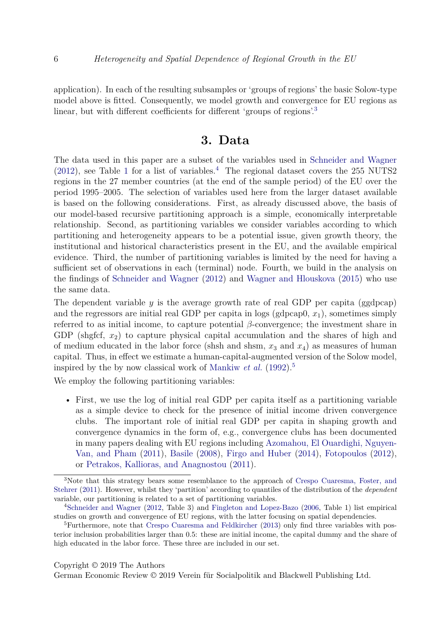application). In each of the resulting subsamples or 'groups of regions' the basic Solow-type model above is fitted. Consequently, we model growth and convergence for EU regions as linear, but with different coefficients for different 'groups of regions'.<sup>[3](#page-5-1)</sup>

## **3. Data**

<span id="page-5-0"></span>The data used in this paper are a subset of the variables used in [Schneider and Wagner](#page-17-1)  $(2012)$ , see Table [1](#page-6-0) for a list of variables.<sup>[4](#page-5-2)</sup> The regional dataset covers the 255 NUTS2 regions in the 27 member countries (at the end of the sample period) of the EU over the period 1995–2005. The selection of variables used here from the larger dataset available is based on the following considerations. First, as already discussed above, the basis of our model-based recursive partitioning approach is a simple, economically interpretable relationship. Second, as partitioning variables we consider variables according to which partitioning and heterogeneity appears to be a potential issue, given growth theory, the institutional and historical characteristics present in the EU, and the available empirical evidence. Third, the number of partitioning variables is limited by the need for having a sufficient set of observations in each (terminal) node. Fourth, we build in the analysis on the findings of [Schneider and Wagner](#page-17-1) [\(2012\)](#page-17-1) and [Wagner and Hlouskova](#page-17-0) [\(2015\)](#page-17-0) who use the same data.

The dependent variable *y* is the average growth rate of real GDP per capita (ggdpcap) and the regressors are initial real GDP per capita in logs ( $gdpcap, x_1$ ), sometimes simply referred to as initial income, to capture potential *β*-convergence; the investment share in GDP (shgfcf,  $x_2$ ) to capture physical capital accumulation and the shares of high and of medium educated in the labor force (shsh and shsm,  $x_3$  and  $x_4$ ) as measures of human capital. Thus, in effect we estimate a human-capital-augmented version of the Solow model, inspired by the by now classical work of [Mankiw](#page-16-0) *et al.* [\(1992\)](#page-16-0).<sup>[5](#page-5-3)</sup>

We employ the following partitioning variables:

• First, we use the log of initial real GDP per capita itself as a partitioning variable as a simple device to check for the presence of initial income driven convergence clubs. The important role of initial real GDP per capita in shaping growth and convergence dynamics in the form of, e.g., convergence clubs has been documented in many papers dealing with EU regions including [Azomahou, El Ouardighi, Nguyen-](#page-14-9)[Van, and Pham](#page-14-9) [\(2011\)](#page-14-9), [Basile](#page-14-10) [\(2008\)](#page-14-10), [Firgo and Huber](#page-15-8) [\(2014\)](#page-15-8), [Fotopoulos](#page-15-9) [\(2012\)](#page-15-9), or [Petrakos, Kallioras, and Anagnostou](#page-16-9) [\(2011\)](#page-16-9).

Copyright © 2019 The Authors

<span id="page-5-1"></span><sup>&</sup>lt;sup>3</sup>Note that this strategy bears some resemblance to the approach of [Crespo Cuaresma, Foster, and](#page-15-10) [Stehrer](#page-15-10) [\(2011\)](#page-15-10). However, whilst they 'partition' according to quantiles of the distribution of the *dependent* variable, our partitioning is related to a set of partitioning variables.

<span id="page-5-2"></span><sup>4</sup>[Schneider and Wagner](#page-17-1) [\(2012,](#page-17-1) Table 3) and [Fingleton and Lopez-Bazo](#page-15-3) [\(2006,](#page-15-3) Table 1) list empirical studies on growth and convergence of EU regions, with the latter focusing on spatial dependencies.

<span id="page-5-3"></span><sup>&</sup>lt;sup>5</sup>Furthermore, note that [Crespo Cuaresma and Feldkircher](#page-14-4) [\(2013\)](#page-14-4) only find three variables with posterior inclusion probabilities larger than 0*.*5: these are initial income, the capital dummy and the share of high educated in the labor force. These three are included in our set.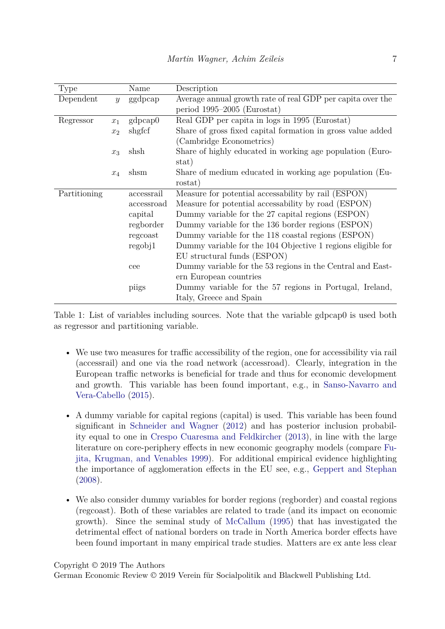| <b>Type</b>  |                | Name       | Description                                                 |
|--------------|----------------|------------|-------------------------------------------------------------|
| Dependent    | $\overline{y}$ | ggdpcap    | Average annual growth rate of real GDP per capita over the  |
|              |                |            | period $1995-2005$ (Eurostat)                               |
| Regressor    | $x_1$          | gdpcap0    | Real GDP per capita in logs in 1995 (Eurostat)              |
|              | $x_2$          | shgfcf     | Share of gross fixed capital formation in gross value added |
|              |                |            | (Cambridge Econometrics)                                    |
|              | $x_3$          | shsh       | Share of highly educated in working age population (Euro-   |
|              |                |            | stat)                                                       |
|              | $x_4$          | shsm       | Share of medium educated in working age population (Eu-     |
|              |                |            | rostat)                                                     |
| Partitioning |                | accessrail | Measure for potential accessability by rail (ESPON)         |
|              |                | accessroad | Measure for potential accessability by road (ESPON)         |
|              |                | capital    | Dummy variable for the 27 capital regions (ESPON)           |
|              |                | regborder  | Dummy variable for the 136 border regions (ESPON)           |
|              |                | regcoast   | Dummy variable for the 118 coastal regions (ESPON)          |
|              |                | regobj1    | Dummy variable for the 104 Objective 1 regions eligible for |
|              |                |            | EU structural funds (ESPON)                                 |
|              |                | cee        | Dummy variable for the 53 regions in the Central and East-  |
|              |                |            | ern European countries                                      |
|              |                | piigs      | Dummy variable for the 57 regions in Portugal, Ireland,     |
|              |                |            | Italy, Greece and Spain                                     |

<span id="page-6-0"></span>Table 1: List of variables including sources. Note that the variable gdpcap0 is used both as regressor and partitioning variable.

- We use two measures for traffic accessibility of the region, one for accessibility via rail (accessrail) and one via the road network (accessroad). Clearly, integration in the European traffic networks is beneficial for trade and thus for economic development and growth. This variable has been found important, e.g., in [Sanso-Navarro and](#page-17-7) [Vera-Cabello](#page-17-7) [\(2015\)](#page-17-7).
- A dummy variable for capital regions (capital) is used. This variable has been found significant in [Schneider and Wagner](#page-17-1) [\(2012\)](#page-17-1) and has posterior inclusion probability equal to one in [Crespo Cuaresma and Feldkircher](#page-14-4) [\(2013\)](#page-14-4), in line with the large literature on core-periphery effects in new economic geography models (compare [Fu](#page-16-10)[jita, Krugman, and Venables](#page-16-10) [1999\)](#page-16-10). For additional empirical evidence highlighting the importance of agglomeration effects in the EU see, e.g., [Geppert and Stephan](#page-16-11) [\(2008\)](#page-16-11).
- We also consider dummy variables for border regions (regborder) and coastal regions (regcoast). Both of these variables are related to trade (and its impact on economic growth). Since the seminal study of [McCallum](#page-16-12) [\(1995\)](#page-16-12) that has investigated the detrimental effect of national borders on trade in North America border effects have been found important in many empirical trade studies. Matters are ex ante less clear

Copyright © 2019 The Authors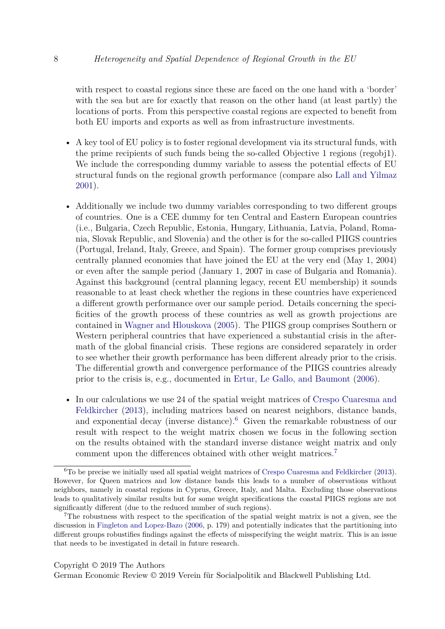with respect to coastal regions since these are faced on the one hand with a 'border' with the sea but are for exactly that reason on the other hand (at least partly) the locations of ports. From this perspective coastal regions are expected to benefit from both EU imports and exports as well as from infrastructure investments.

- A key tool of EU policy is to foster regional development via its structural funds, with the prime recipients of such funds being the so-called Objective 1 regions (regobj1). We include the corresponding dummy variable to assess the potential effects of EU structural funds on the regional growth performance (compare also [Lall and Yilmaz](#page-16-13) [2001\)](#page-16-13).
- Additionally we include two dummy variables corresponding to two different groups of countries. One is a CEE dummy for ten Central and Eastern European countries (i.e., Bulgaria, Czech Republic, Estonia, Hungary, Lithuania, Latvia, Poland, Romania, Slovak Republic, and Slovenia) and the other is for the so-called PIIGS countries (Portugal, Ireland, Italy, Greece, and Spain). The former group comprises previously centrally planned economies that have joined the EU at the very end (May 1, 2004) or even after the sample period (January 1, 2007 in case of Bulgaria and Romania). Against this background (central planning legacy, recent EU membership) it sounds reasonable to at least check whether the regions in these countries have experienced a different growth performance over our sample period. Details concerning the specificities of the growth process of these countries as well as growth projections are contained in [Wagner and Hlouskova](#page-17-8) [\(2005\)](#page-17-8). The PIIGS group comprises Southern or Western peripheral countries that have experienced a substantial crisis in the aftermath of the global financial crisis. These regions are considered separately in order to see whether their growth performance has been different already prior to the crisis. The differential growth and convergence performance of the PIIGS countries already prior to the crisis is, e.g., documented in [Ertur, Le Gallo, and Baumont](#page-15-11) [\(2006\)](#page-15-11).
- In our calculations we use 24 of the spatial weight matrices of [Crespo Cuaresma and](#page-14-4) [Feldkircher](#page-14-4) [\(2013\)](#page-14-4), including matrices based on nearest neighbors, distance bands, and exponential decay (inverse distance).[6](#page-7-0) Given the remarkable robustness of our result with respect to the weight matrix chosen we focus in the following section on the results obtained with the standard inverse distance weight matrix and only comment upon the differences obtained with other weight matrices.<sup>[7](#page-7-1)</sup>

<span id="page-7-0"></span> $6T_0$  be precise we initially used all spatial weight matrices of [Crespo Cuaresma and Feldkircher](#page-14-4) [\(2013\)](#page-14-4). However, for Queen matrices and low distance bands this leads to a number of observations without neighbors, namely in coastal regions in Cyprus, Greece, Italy, and Malta. Excluding those observations leads to qualitatively similar results but for some weight specifications the coastal PIIGS regions are not significantly different (due to the reduced number of such regions).

<span id="page-7-1"></span><sup>7</sup>The robustness with respect to the specification of the spatial weight matrix is not a given, see the discussion in [Fingleton and Lopez-Bazo](#page-15-3) [\(2006,](#page-15-3) p. 179) and potentially indicates that the partitioning into different groups robustifies findings against the effects of misspecifying the weight matrix. This is an issue that needs to be investigated in detail in future research.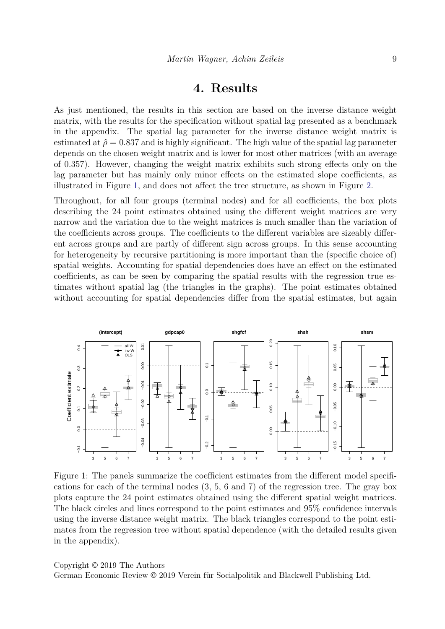## **4. Results**

<span id="page-8-0"></span>As just mentioned, the results in this section are based on the inverse distance weight matrix, with the results for the specification without spatial lag presented as a benchmark in the appendix. The spatial lag parameter for the inverse distance weight matrix is estimated at  $\hat{\rho} = 0.837$  and is highly significant. The high value of the spatial lag parameter depends on the chosen weight matrix and is lower for most other matrices (with an average of 0*.*357). However, changing the weight matrix exhibits such strong effects only on the lag parameter but has mainly only minor effects on the estimated slope coefficients, as illustrated in Figure [1,](#page-8-1) and does not affect the tree structure, as shown in Figure [2.](#page-9-0)

Throughout, for all four groups (terminal nodes) and for all coefficients, the box plots describing the 24 point estimates obtained using the different weight matrices are very narrow and the variation due to the weight matrices is much smaller than the variation of the coefficients across groups. The coefficients to the different variables are sizeably different across groups and are partly of different sign across groups. In this sense accounting for heterogeneity by recursive partitioning is more important than the (specific choice of) spatial weights. Accounting for spatial dependencies does have an effect on the estimated coefficients, as can be seen by comparing the spatial results with the regression true estimates without spatial lag (the triangles in the graphs). The point estimates obtained without accounting for spatial dependencies differ from the spatial estimates, but again



<span id="page-8-1"></span>Figure 1: The panels summarize the coefficient estimates from the different model specifications for each of the terminal nodes (3, 5, 6 and 7) of the regression tree. The gray box plots capture the 24 point estimates obtained using the different spatial weight matrices. The black circles and lines correspond to the point estimates and 95% confidence intervals using the inverse distance weight matrix. The black triangles correspond to the point estimates from the regression tree without spatial dependence (with the detailed results given in the appendix).

Copyright © 2019 The Authors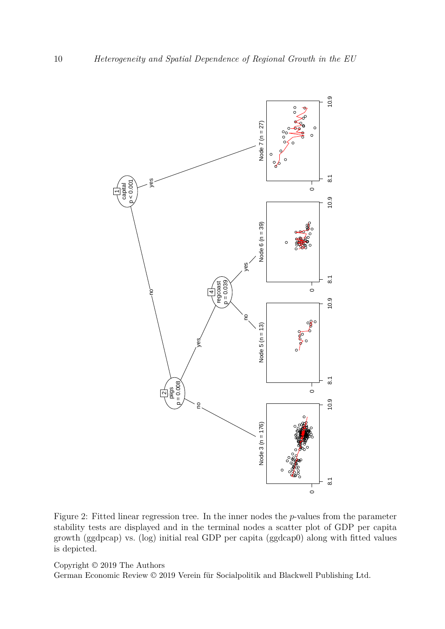

<span id="page-9-0"></span>Figure 2: Fitted linear regression tree. In the inner nodes the *p*-values from the parameter stability tests are displayed and in the terminal nodes a scatter plot of GDP per capita growth (ggdpcap) vs. (log) initial real GDP per capita (ggdcap0) along with fitted values is depicted.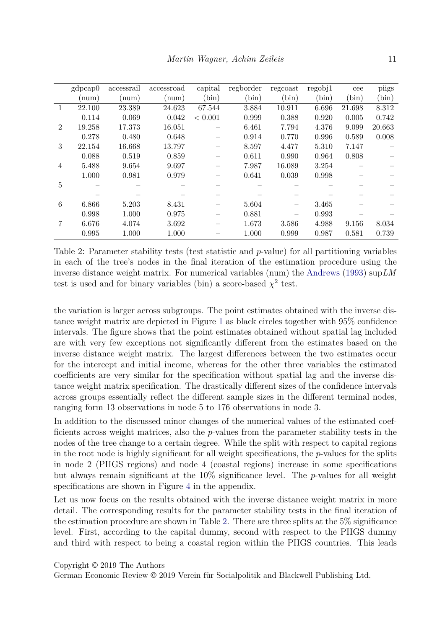|                | gdpcap0 | accessrail | accessroad | capital | regborder | regcoast | regobj1 | cee    | piigs  |
|----------------|---------|------------|------------|---------|-----------|----------|---------|--------|--------|
|                | num)    | (num)      | (num)      | (bin)   | (bin)     | (bin)    | (bin)   | (bin)  | (bin)  |
| 1              | 22.100  | 23.389     | 24.623     | 67.544  | 3.884     | 10.911   | 6.696   | 21.698 | 8.312  |
|                | 0.114   | 0.069      | 0.042      | < 0.001 | 0.999     | 0.388    | 0.920   | 0.005  | 0.742  |
| $\overline{2}$ | 19.258  | 17.373     | 16.051     |         | 6.461     | 7.794    | 4.376   | 9.099  | 20.663 |
|                | 0.278   | 0.480      | 0.648      |         | 0.914     | 0.770    | 0.996   | 0.589  | 0.008  |
| 3              | 22.154  | 16.668     | 13.797     |         | 8.597     | 4.477    | 5.310   | 7.147  |        |
|                | 0.088   | 0.519      | 0.859      |         | 0.611     | 0.990    | 0.964   | 0.808  |        |
| 4              | 5.488   | 9.654      | 9.697      |         | 7.987     | 16.089   | 3.254   |        |        |
|                | 1.000   | 0.981      | 0.979      |         | 0.641     | 0.039    | 0.998   |        |        |
| 5              |         |            |            |         |           |          |         |        |        |
|                |         |            |            |         |           |          |         |        |        |
| 6              | 6.866   | 5.203      | 8.431      |         | 5.604     |          | 3.465   |        |        |
|                | 0.998   | 1.000      | 0.975      |         | 0.881     |          | 0.993   |        |        |
| 7              | 6.676   | 4.074      | 3.692      |         | 1.673     | 3.586    | 4.988   | 9.156  | 8.034  |
|                | 0.995   | 1.000      | 1.000      |         | 1.000     | 0.999    | 0.987   | 0.581  | 0.739  |

<span id="page-10-0"></span>Table 2: Parameter stability tests (test statistic and *p*-value) for all partitioning variables in each of the tree's nodes in the final iteration of the estimation procedure using the inverse distance weight matrix. For numerical variables (num) the [Andrews](#page-14-8) [\(1993\)](#page-14-8) sup*LM* test is used and for binary variables (bin) a score-based  $\chi^2$  test.

the variation is larger across subgroups. The point estimates obtained with the inverse distance weight matrix are depicted in Figure [1](#page-8-1) as black circles together with 95% confidence intervals. The figure shows that the point estimates obtained without spatial lag included are with very few exceptions not significantly different from the estimates based on the inverse distance weight matrix. The largest differences between the two estimates occur for the intercept and initial income, whereas for the other three variables the estimated coefficients are very similar for the specification without spatial lag and the inverse distance weight matrix specification. The drastically different sizes of the confidence intervals across groups essentially reflect the different sample sizes in the different terminal nodes, ranging form 13 observations in node 5 to 176 observations in node 3.

In addition to the discussed minor changes of the numerical values of the estimated coefficients across weight matrices, also the *p*-values from the parameter stability tests in the nodes of the tree change to a certain degree. While the split with respect to capital regions in the root node is highly significant for all weight specifications, the *p*-values for the splits in node 2 (PIIGS regions) and node 4 (coastal regions) increase in some specifications but always remain significant at the 10% significance level. The *p*-values for all weight specifications are shown in Figure [4](#page-20-0) in the appendix.

Let us now focus on the results obtained with the inverse distance weight matrix in more detail. The corresponding results for the parameter stability tests in the final iteration of the estimation procedure are shown in Table [2.](#page-10-0) There are three splits at the 5% significance level. First, according to the capital dummy, second with respect to the PIIGS dummy and third with respect to being a coastal region within the PIIGS countries. This leads

Copyright © 2019 The Authors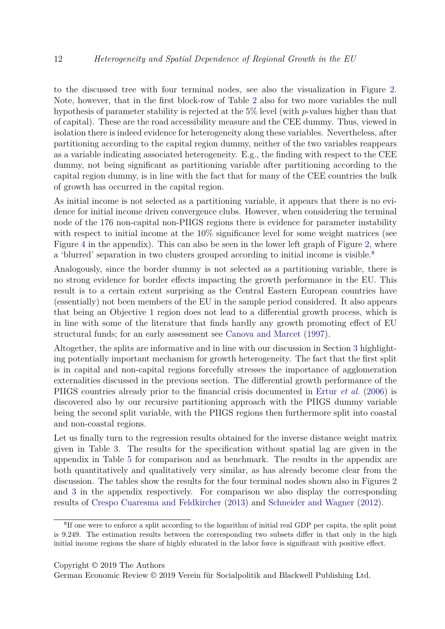to the discussed tree with four terminal nodes, see also the visualization in Figure [2.](#page-9-0) Note, however, that in the first block-row of Table [2](#page-10-0) also for two more variables the null hypothesis of parameter stability is rejected at the 5% level (with *p*-values higher than that of capital). These are the road accessibility measure and the CEE dummy. Thus, viewed in isolation there is indeed evidence for heterogeneity along these variables. Nevertheless, after partitioning according to the capital region dummy, neither of the two variables reappears as a variable indicating associated heterogeneity. E.g., the finding with respect to the CEE dummy, not being significant as partitioning variable after partitioning according to the capital region dummy, is in line with the fact that for many of the CEE countries the bulk of growth has occurred in the capital region.

As initial income is not selected as a partitioning variable, it appears that there is no evidence for initial income driven convergence clubs. However, when considering the terminal node of the 176 non-capital non-PIIGS regions there is evidence for parameter instability with respect to initial income at the  $10\%$  significance level for some weight matrices (see Figure [4](#page-20-0) in the appendix). This can also be seen in the lower left graph of Figure [2,](#page-9-0) where a 'blurred' separation in two clusters grouped according to initial income is visible.<sup>[8](#page-11-0)</sup>

Analogously, since the border dummy is not selected as a partitioning variable, there is no strong evidence for border effects impacting the growth performance in the EU. This result is to a certain extent surprising as the Central Eastern European countries have (essentially) not been members of the EU in the sample period considered. It also appears that being an Objective 1 region does not lead to a differential growth process, which is in line with some of the literature that finds hardly any growth promoting effect of EU structural funds; for an early assessment see [Canova and Marcet](#page-14-11) [\(1997\)](#page-14-11).

Altogether, the splits are informative and in line with our discussion in Section [3](#page-5-0) highlighting potentially important mechanism for growth heterogeneity. The fact that the first split is in capital and non-capital regions forcefully stresses the importance of agglomeration externalities discussed in the previous section. The differential growth performance of the PIIGS countries already prior to the financial crisis documented in [Ertur](#page-15-11) *et al.* [\(2006\)](#page-15-11) is discovered also by our recursive partitioning approach with the PIIGS dummy variable being the second split variable, with the PIIGS regions then furthermore split into coastal and non-coastal regions.

Let us finally turn to the regression results obtained for the inverse distance weight matrix given in Table [3.](#page-12-0) The results for the specification without spatial lag are given in the appendix in Table [5](#page-18-0) for comparison and as benchmark. The results in the appendix are both quantitatively and qualitatively very similar, as has already become clear from the discussion. The tables show the results for the four terminal nodes shown also in Figures [2](#page-9-0) and [3](#page-19-0) in the appendix respectively. For comparison we also display the corresponding results of [Crespo Cuaresma and Feldkircher](#page-14-4) [\(2013\)](#page-14-4) and [Schneider and Wagner](#page-17-1) [\(2012\)](#page-17-1).

<span id="page-11-0"></span><sup>&</sup>lt;sup>8</sup>If one were to enforce a split according to the logarithm of initial real GDP per capita, the split point is 9.249. The estimation results between the corresponding two subsets differ in that only in the high initial income regions the share of highly educated in the labor force is significant with positive effect.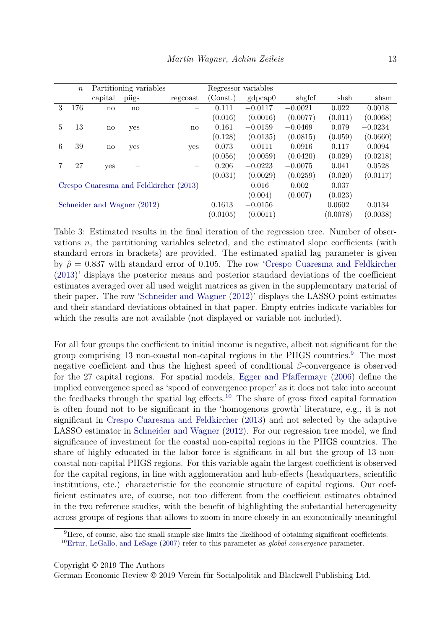|                                        | $\boldsymbol{n}$ | Partitioning variables      |                        |                 |          | Regressor variables |           |          |           |  |
|----------------------------------------|------------------|-----------------------------|------------------------|-----------------|----------|---------------------|-----------|----------|-----------|--|
|                                        |                  | capital                     | piigs                  | regcoast        | (Const.) | gdpcap0             | shgfcf    | shsh     | shsm      |  |
| 3                                      | 176              | $\mathbf{n}\mathbf{o}$      | $\mathbf{n}\mathbf{o}$ | $\qquad \qquad$ | 0.111    | $-0.0117$           | $-0.0021$ | 0.022    | 0.0018    |  |
|                                        |                  |                             |                        |                 | (0.016)  | (0.0016)            | (0.0077)  | (0.011)  | (0.0068)  |  |
| 5                                      | 13               | $\mathbf{n}\mathbf{o}$      | yes                    | no              | 0.161    | $-0.0159$           | $-0.0469$ | 0.079    | $-0.0234$ |  |
|                                        |                  |                             |                        |                 | (0.128)  | (0.0135)            | (0.0815)  | (0.059)  | (0.0660)  |  |
| 6                                      | 39               | no                          | yes                    | yes             | 0.073    | $-0.0111$           | 0.0916    | 0.117    | 0.0094    |  |
|                                        |                  |                             |                        |                 | (0.056)  | (0.0059)            | (0.0420)  | (0.029)  | (0.0218)  |  |
|                                        | 27               | yes                         |                        | $\qquad \qquad$ | 0.206    | $-0.0223$           | $-0.0075$ | 0.041    | 0.0528    |  |
|                                        |                  |                             |                        |                 | (0.031)  | (0.0029)            | (0.0259)  | (0.020)  | (0.0117)  |  |
| Crespo Cuaresma and Feldkircher (2013) |                  |                             |                        |                 |          | $-0.016$            | 0.002     | 0.037    |           |  |
|                                        |                  |                             |                        |                 |          | (0.004)             | (0.007)   | (0.023)  |           |  |
|                                        |                  | Schneider and Wagner (2012) |                        |                 | 0.1613   | $-0.0156$           |           | 0.0602   | 0.0134    |  |
|                                        |                  |                             |                        |                 | (0.0105) | (0.0011)            |           | (0.0078) | (0.0038)  |  |

<span id="page-12-0"></span>Table 3: Estimated results in the final iteration of the regression tree. Number of observations  $n$ , the partitioning variables selected, and the estimated slope coefficients (with standard errors in brackets) are provided. The estimated spatial lag parameter is given by  $\hat{\rho} = 0.837$  with standard error of 0.105. The row ['Crespo Cuaresma and Feldkircher](#page-14-4) [\(2013\)](#page-14-4)' displays the posterior means and posterior standard deviations of the coefficient estimates averaged over all used weight matrices as given in the supplementary material of their paper. The row ['Schneider and Wagner](#page-17-1) [\(2012\)](#page-17-1)' displays the LASSO point estimates and their standard deviations obtained in that paper. Empty entries indicate variables for which the results are not available (not displayed or variable not included).

For all four groups the coefficient to initial income is negative, albeit not significant for the group comprising 13 non-coastal non-capital regions in the PIIGS countries.<sup>[9](#page-12-1)</sup> The most negative coefficient and thus the highest speed of conditional *β*-convergence is observed for the 27 capital regions. For spatial models, [Egger and Pfaffermayr](#page-15-5) [\(2006\)](#page-15-5) define the implied convergence speed as 'speed of convergence proper' as it does not take into account the feedbacks through the spatial lag effects.<sup>[10](#page-12-2)</sup> The share of gross fixed capital formation is often found not to be significant in the 'homogenous growth' literature, e.g., it is not significant in [Crespo Cuaresma and Feldkircher](#page-14-4) [\(2013\)](#page-14-4) and not selected by the adaptive LASSO estimator in [Schneider and Wagner](#page-17-1) [\(2012\)](#page-17-1). For our regression tree model, we find significance of investment for the coastal non-capital regions in the PIIGS countries. The share of highly educated in the labor force is significant in all but the group of 13 noncoastal non-capital PIIGS regions. For this variable again the largest coefficient is observed for the capital regions, in line with agglomeration and hub-effects (headquarters, scientific institutions, etc.) characteristic for the economic structure of capital regions. Our coefficient estimates are, of course, not too different from the coefficient estimates obtained in the two reference studies, with the benefit of highlighting the substantial heterogeneity across groups of regions that allows to zoom in more closely in an economically meaningful

<span id="page-12-1"></span><sup>9</sup>Here, of course, also the small sample size limits the likelihood of obtaining significant coefficients.

<span id="page-12-2"></span><sup>10</sup>[Ertur, LeGallo, and LeSage](#page-15-12) [\(2007\)](#page-15-12) refer to this parameter as *global convergence* parameter.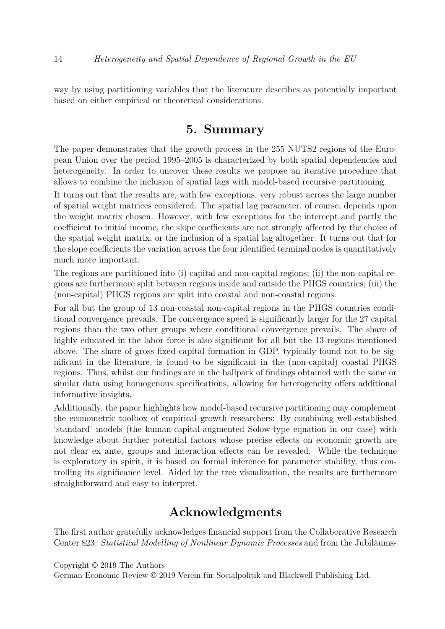way by using partitioning variables that the literature describes as potentially important based on either empirical or theoretical considerations.

## **5. Summary**

<span id="page-13-0"></span>The paper demonstrates that the growth process in the 255 NUTS2 regions of the European Union over the period 1995–2005 is characterized by both spatial dependencies and heterogeneity. In order to uncover these results we propose an iterative procedure that allows to combine the inclusion of spatial lags with model-based recursive partitioning.

It turns out that the results are, with few exceptions, very robust across the large number of spatial weight matrices considered. The spatial lag parameter, of course, depends upon the weight matrix chosen. However, with few exceptions for the intercept and partly the coefficient to initial income, the slope coefficients are not strongly affected by the choice of the spatial weight matrix, or the inclusion of a spatial lag altogether. It turns out that for the slope coefficients the variation across the four identified terminal nodes is quantitatively much more important.

The regions are partitioned into (i) capital and non-capital regions; (ii) the non-capital regions are furthermore split between regions inside and outside the PIIGS countries; (iii) the (non-capital) PIIGS regions are split into coastal and non-coastal regions.

For all but the group of 13 non-coastal non-capital regions in the PIIGS countries conditional convergence prevails. The convergence speed is significantly larger for the 27 capital regions than the two other groups where conditional convergence prevails. The share of highly educated in the labor force is also significant for all but the 13 regions mentioned above. The share of gross fixed capital formation in GDP, typically found not to be significant in the literature, is found to be significant in the (non-capital) coastal PIIGS regions. Thus, whilst our findings are in the ballpark of findings obtained with the same or similar data using homogenous specifications, allowing for heterogeneity offers additional informative insights.

Additionally, the paper highlights how model-based recursive partitioning may complement the econometric toolbox of empirical growth researchers: By combining well-established 'standard' models (the human-capital-augmented Solow-type equation in our case) with knowledge about further potential factors whose precise effects on economic growth are not clear ex ante, groups and interaction effects can be revealed. While the technique is exploratory in spirit, it is based on formal inference for parameter stability, thus controlling its significance level. Aided by the tree visualization, the results are furthermore straightforward and easy to interpret.

# **Acknowledgments**

The first author gratefully acknowledges financial support from the Collaborative Research Center 823: *Statistical Modelling of Nonlinear Dynamic Processes* and from the Jubiläums-

Copyright © 2019 The Authors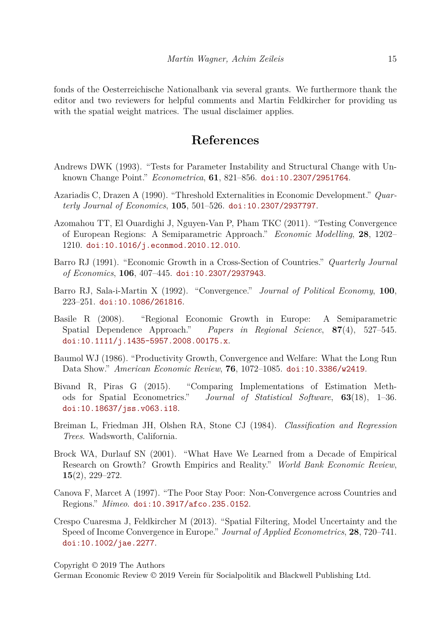fonds of the Oesterreichische Nationalbank via several grants. We furthermore thank the editor and two reviewers for helpful comments and Martin Feldkircher for providing us with the spatial weight matrices. The usual disclaimer applies.

# **References**

- <span id="page-14-8"></span>Andrews DWK (1993). "Tests for Parameter Instability and Structural Change with Unknown Change Point." *Econometrica*, **61**, 821–856. [doi:10.2307/2951764](http://dx.doi.org/10.2307/2951764).
- <span id="page-14-5"></span>Azariadis C, Drazen A (1990). "Threshold Externalities in Economic Development." *Quarterly Journal of Economics*, **105**, 501–526. [doi:10.2307/2937797](http://dx.doi.org/10.2307/2937797).
- <span id="page-14-9"></span>Azomahou TT, El Ouardighi J, Nguyen-Van P, Pham TKC (2011). "Testing Convergence of European Regions: A Semiparametric Approach." *Economic Modelling*, **28**, 1202– 1210. [doi:10.1016/j.econmod.2010.12.010](http://dx.doi.org/10.1016/j.econmod.2010.12.010).
- <span id="page-14-1"></span>Barro RJ (1991). "Economic Growth in a Cross-Section of Countries." *Quarterly Journal of Economics*, **106**, 407–445. [doi:10.2307/2937943](http://dx.doi.org/10.2307/2937943).
- <span id="page-14-2"></span>Barro RJ, Sala-i-Martin X (1992). "Convergence." *Journal of Political Economy*, **100**, 223–251. [doi:10.1086/261816](http://dx.doi.org/10.1086/261816).
- <span id="page-14-10"></span>Basile R (2008). "Regional Economic Growth in Europe: A Semiparametric Spatial Dependence Approach." *Papers in Regional Science*, **87**(4), 527–545. [doi:10.1111/j.1435-5957.2008.00175.x](http://dx.doi.org/10.1111/j.1435-5957.2008.00175.x).
- <span id="page-14-0"></span>Baumol WJ (1986). "Productivity Growth, Convergence and Welfare: What the Long Run Data Show." *American Economic Review*, **76**, 1072–1085. [doi:10.3386/w2419](http://dx.doi.org/10.3386/w2419).
- <span id="page-14-7"></span>Bivand R, Piras G (2015). "Comparing Implementations of Estimation Methods for Spatial Econometrics." *Journal of Statistical Software*, **63**(18), 1–36. [doi:10.18637/jss.v063.i18](http://dx.doi.org/10.18637/jss.v063.i18).
- <span id="page-14-6"></span>Breiman L, Friedman JH, Olshen RA, Stone CJ (1984). *Classification and Regression Trees*. Wadsworth, California.
- <span id="page-14-3"></span>Brock WA, Durlauf SN (2001). "What Have We Learned from a Decade of Empirical Research on Growth? Growth Empirics and Reality." *World Bank Economic Review*, **15**(2), 229–272.
- <span id="page-14-11"></span>Canova F, Marcet A (1997). "The Poor Stay Poor: Non-Convergence across Countries and Regions." *Mimeo*. [doi:10.3917/afco.235.0152](http://dx.doi.org/10.3917/afco.235.0152).
- <span id="page-14-4"></span>Crespo Cuaresma J, Feldkircher M (2013). "Spatial Filtering, Model Uncertainty and the Speed of Income Convergence in Europe." *Journal of Applied Econometrics*, **28**, 720–741. [doi:10.1002/jae.2277](http://dx.doi.org/10.1002/jae.2277).

Copyright © 2019 The Authors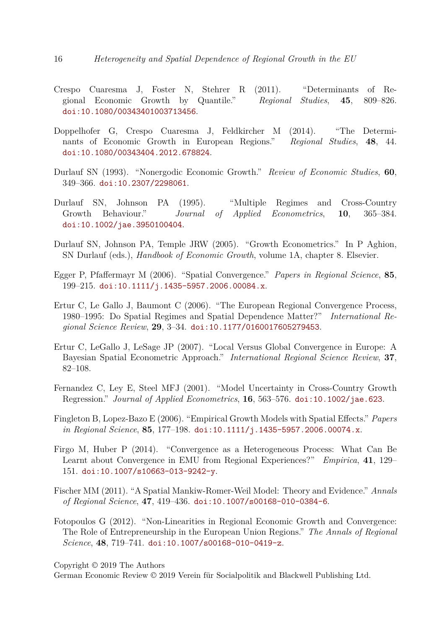- <span id="page-15-10"></span>Crespo Cuaresma J, Foster N, Stehrer R (2011). "Determinants of Regional Economic Growth by Quantile." *Regional Studies*, **45**, 809–826. [doi:10.1080/00343401003713456](http://dx.doi.org/10.1080/00343401003713456).
- <span id="page-15-1"></span>Doppelhofer G, Crespo Cuaresma J, Feldkircher M (2014). "The Determinants of Economic Growth in European Regions." *Regional Studies*, **48**, 44. [doi:10.1080/00343404.2012.678824](http://dx.doi.org/10.1080/00343404.2012.678824).
- <span id="page-15-4"></span>Durlauf SN (1993). "Nonergodic Economic Growth." *Review of Economic Studies*, **60**, 349–366. [doi:10.2307/2298061](http://dx.doi.org/10.2307/2298061).
- <span id="page-15-7"></span>Durlauf SN, Johnson PA (1995). "Multiple Regimes and Cross-Country Growth Behaviour." *Journal of Applied Econometrics*, **10**, 365–384. [doi:10.1002/jae.3950100404](http://dx.doi.org/10.1002/jae.3950100404).
- <span id="page-15-0"></span>Durlauf SN, Johnson PA, Temple JRW (2005). "Growth Econometrics." In P Aghion, SN Durlauf (eds.), *Handbook of Economic Growth*, volume 1A, chapter 8. Elsevier.
- <span id="page-15-5"></span>Egger P, Pfaffermayr M (2006). "Spatial Convergence." *Papers in Regional Science*, **85**, 199–215. [doi:10.1111/j.1435-5957.2006.00084.x](http://dx.doi.org/10.1111/j.1435-5957.2006.00084.x).
- <span id="page-15-11"></span>Ertur C, Le Gallo J, Baumont C (2006). "The European Regional Convergence Process, 1980–1995: Do Spatial Regimes and Spatial Dependence Matter?" *International Regional Science Review*, **29**, 3–34. [doi:10.1177/0160017605279453](http://dx.doi.org/10.1177/0160017605279453).
- <span id="page-15-12"></span>Ertur C, LeGallo J, LeSage JP (2007). "Local Versus Global Convergence in Europe: A Bayesian Spatial Econometric Approach." *International Regional Science Review*, **37**, 82–108.
- <span id="page-15-2"></span>Fernandez C, Ley E, Steel MFJ (2001). "Model Uncertainty in Cross-Country Growth Regression." *Journal of Applied Econometrics*, **16**, 563–576. [doi:10.1002/jae.623](http://dx.doi.org/10.1002/jae.623).
- <span id="page-15-3"></span>Fingleton B, Lopez-Bazo E (2006). "Empirical Growth Models with Spatial Effects." *Papers in Regional Science*, **85**, 177–198. [doi:10.1111/j.1435-5957.2006.00074.x](http://dx.doi.org/10.1111/j.1435-5957.2006.00074.x).
- <span id="page-15-8"></span>Firgo M, Huber P (2014). "Convergence as a Heterogeneous Process: What Can Be Learnt about Convergence in EMU from Regional Experiences?" *Empirica*, **41**, 129– 151. [doi:10.1007/s10663-013-9242-y](http://dx.doi.org/10.1007/s10663-013-9242-y).
- <span id="page-15-6"></span>Fischer MM (2011). "A Spatial Mankiw-Romer-Weil Model: Theory and Evidence." *Annals of Regional Science*, **47**, 419–436. [doi:10.1007/s00168-010-0384-6](http://dx.doi.org/10.1007/s00168-010-0384-6).
- <span id="page-15-9"></span>Fotopoulos G (2012). "Non-Linearities in Regional Economic Growth and Convergence: The Role of Entrepreneurship in the European Union Regions." *The Annals of Regional Science*, **48**, 719–741. [doi:10.1007/s00168-010-0419-z](http://dx.doi.org/10.1007/s00168-010-0419-z).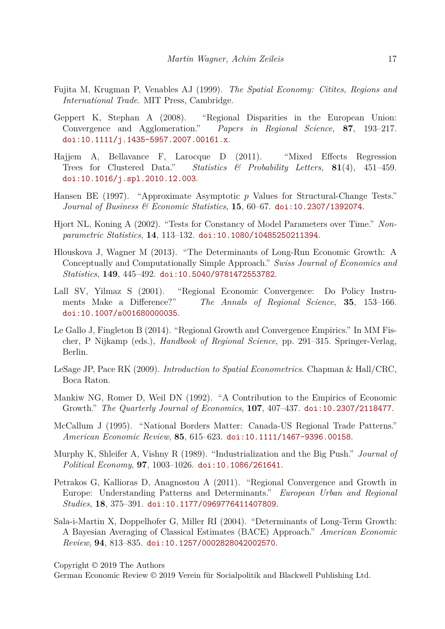- <span id="page-16-10"></span>Fujita M, Krugman P, Venables AJ (1999). *The Spatial Economy: Citites, Regions and International Trade*. MIT Press, Cambridge.
- <span id="page-16-11"></span>Geppert K, Stephan A (2008). "Regional Disparities in the European Union: Convergence and Agglomeration." *Papers in Regional Science*, **87**, 193–217. [doi:10.1111/j.1435-5957.2007.00161.x](http://dx.doi.org/10.1111/j.1435-5957.2007.00161.x).
- <span id="page-16-6"></span>Hajjem A, Bellavance F, Larocque D (2011). "Mixed Effects Regression Trees for Clustered Data." *Statistics & Probability Letters*, **81**(4), 451–459. [doi:10.1016/j.spl.2010.12.003](http://dx.doi.org/10.1016/j.spl.2010.12.003).
- <span id="page-16-8"></span>Hansen BE (1997). "Approximate Asymptotic *p* Values for Structural-Change Tests." *Journal of Business & Economic Statistics*, **15**, 60–67. [doi:10.2307/1392074](http://dx.doi.org/10.2307/1392074).
- <span id="page-16-7"></span>Hjort NL, Koning A (2002). "Tests for Constancy of Model Parameters over Time." *Nonparametric Statistics*, **14**, 113–132. [doi:10.1080/10485250211394](http://dx.doi.org/10.1080/10485250211394).
- <span id="page-16-2"></span>Hlouskova J, Wagner M (2013). "The Determinants of Long-Run Economic Growth: A Conceptually and Computationally Simple Approach." *Swiss Journal of Economics and Statistics*, **149**, 445–492. [doi:10.5040/9781472553782](http://dx.doi.org/10.5040/9781472553782).
- <span id="page-16-13"></span>Lall SV, Yilmaz S (2001). "Regional Economic Convergence: Do Policy Instruments Make a Difference?" *The Annals of Regional Science*, **35**, 153–166. [doi:10.1007/s001680000035](http://dx.doi.org/10.1007/s001680000035).
- <span id="page-16-4"></span>Le Gallo J, Fingleton B (2014). "Regional Growth and Convergence Empirics." In MM Fischer, P Nijkamp (eds.), *Handbook of Regional Science*, pp. 291–315. Springer-Verlag, Berlin.
- <span id="page-16-5"></span>LeSage JP, Pace RK (2009). *Introduction to Spatial Econometrics*. Chapman & Hall/CRC, Boca Raton.
- <span id="page-16-0"></span>Mankiw NG, Romer D, Weil DN (1992). "A Contribution to the Empirics of Economic Growth." *The Quarterly Journal of Economics*, **107**, 407–437. [doi:10.2307/2118477](http://dx.doi.org/10.2307/2118477).
- <span id="page-16-12"></span>McCallum J (1995). "National Borders Matter: Canada-US Regional Trade Patterns." *American Economic Review*, **85**, 615–623. [doi:10.1111/1467-9396.00158](http://dx.doi.org/10.1111/1467-9396.00158).
- <span id="page-16-3"></span>Murphy K, Shleifer A, Vishny R (1989). "Industrialization and the Big Push." *Journal of Political Economy*, **97**, 1003–1026. [doi:10.1086/261641](http://dx.doi.org/10.1086/261641).
- <span id="page-16-9"></span>Petrakos G, Kallioras D, Anagnostou A (2011). "Regional Convergence and Growth in Europe: Understanding Patterns and Determinants." *European Urban and Regional Studies*, **18**, 375–391. [doi:10.1177/0969776411407809](http://dx.doi.org/10.1177/0969776411407809).
- <span id="page-16-1"></span>Sala-i-Martin X, Doppelhofer G, Miller RI (2004). "Determinants of Long-Term Growth: A Bayesian Averaging of Classical Estimates (BACE) Approach." *American Economic Review*, **94**, 813–835. [doi:10.1257/0002828042002570](http://dx.doi.org/10.1257/0002828042002570).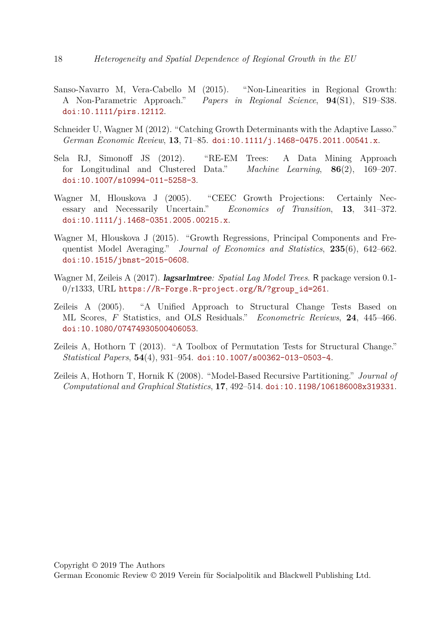- <span id="page-17-7"></span>Sanso-Navarro M, Vera-Cabello M (2015). "Non-Linearities in Regional Growth: A Non-Parametric Approach." *Papers in Regional Science*, **94**(S1), S19–S38. [doi:10.1111/pirs.12112](http://dx.doi.org/10.1111/pirs.12112).
- <span id="page-17-1"></span>Schneider U, Wagner M (2012). "Catching Growth Determinants with the Adaptive Lasso." *German Economic Review*, **13**, 71–85. [doi:10.1111/j.1468-0475.2011.00541.x](http://dx.doi.org/10.1111/j.1468-0475.2011.00541.x).
- <span id="page-17-3"></span>Sela RJ, Simonoff JS (2012). "RE-EM Trees: A Data Mining Approach for Longitudinal and Clustered Data." *Machine Learning*, **86**(2), 169–207. [doi:10.1007/s10994-011-5258-3](http://dx.doi.org/10.1007/s10994-011-5258-3).
- <span id="page-17-8"></span>Wagner M, Hlouskova J (2005). "CEEC Growth Projections: Certainly Necessary and Necessarily Uncertain." *Economics of Transition*, **13**, 341–372. [doi:10.1111/j.1468-0351.2005.00215.x](http://dx.doi.org/10.1111/j.1468-0351.2005.00215.x).
- <span id="page-17-0"></span>Wagner M, Hlouskova J (2015). "Growth Regressions, Principal Components and Frequentist Model Averaging." *Journal of Economics and Statistics*, **235**(6), 642–662. [doi:10.1515/jbnst-2015-0608](http://dx.doi.org/10.1515/jbnst-2015-0608).
- <span id="page-17-4"></span>Wagner M, Zeileis A (2017). lagsarlmtree*: Spatial Lag Model Trees*. R package version 0.1- 0/r1333, URL [https://R-Forge.R-project.org/R/?group\\_id=261](https://R-Forge.R-project.org/R/?group_id=261).
- <span id="page-17-6"></span>Zeileis A (2005). "A Unified Approach to Structural Change Tests Based on ML Scores, *F* Statistics, and OLS Residuals." *Econometric Reviews*, **24**, 445–466. [doi:10.1080/07474930500406053](http://dx.doi.org/10.1080/07474930500406053).
- <span id="page-17-5"></span>Zeileis A, Hothorn T (2013). "A Toolbox of Permutation Tests for Structural Change." *Statistical Papers*, **54**(4), 931–954. [doi:10.1007/s00362-013-0503-4](http://dx.doi.org/10.1007/s00362-013-0503-4).
- <span id="page-17-2"></span>Zeileis A, Hothorn T, Hornik K (2008). "Model-Based Recursive Partitioning." *Journal of Computational and Graphical Statistics*, **17**, 492–514. [doi:10.1198/106186008x319331](http://dx.doi.org/10.1198/106186008x319331).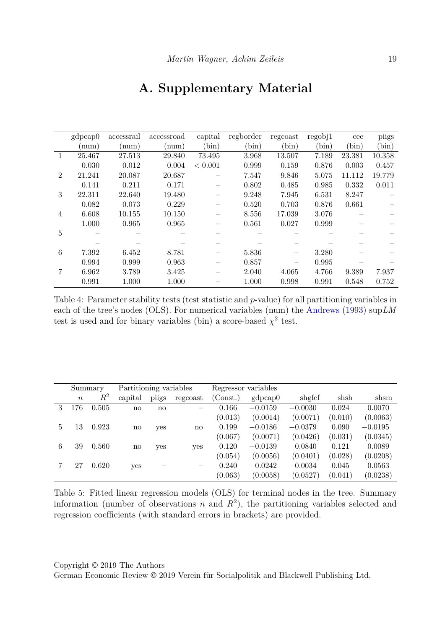# **A. Supplementary Material**

|                | gdpcap0 | accessrail | accessroad | capital | regborder | regcoast | regobj1 | cee    | piigs  |
|----------------|---------|------------|------------|---------|-----------|----------|---------|--------|--------|
|                |         |            |            |         |           |          |         |        |        |
|                | (num)   | (num)      | (num)      | (bin)   | (bin)     | (bin)    | (bin)   | (bin)  | (bin)  |
| 1              | 25.467  | 27.513     | 29.840     | 73.495  | 3.968     | 13.507   | 7.189   | 23.381 | 10.358 |
|                | 0.030   | 0.012      | 0.004      | < 0.001 | 0.999     | 0.159    | 0.876   | 0.003  | 0.457  |
| $\overline{2}$ | 21.241  | 20.087     | 20.687     |         | 7.547     | 9.846    | 5.075   | 11.112 | 19.779 |
|                | 0.141   | 0.211      | 0.171      |         | 0.802     | 0.485    | 0.985   | 0.332  | 0.011  |
| 3              | 22.311  | 22.640     | 19.480     |         | 9.248     | 7.945    | 6.531   | 8.247  |        |
|                | 0.082   | 0.073      | 0.229      |         | 0.520     | 0.703    | 0.876   | 0.661  |        |
| 4              | 6.608   | 10.155     | 10.150     |         | 8.556     | 17.039   | 3.076   |        |        |
|                | 1.000   | 0.965      | 0.965      |         | 0.561     | 0.027    | 0.999   |        |        |
| 5              |         |            |            |         |           |          |         |        |        |
|                |         |            |            |         |           |          |         |        |        |
| 6              | 7.392   | 6.452      | 8.781      |         | 5.836     |          | 3.280   |        |        |
|                | 0.994   | 0.999      | 0.963      |         | 0.857     |          | 0.995   |        |        |
| 7              | 6.962   | 3.789      | 3.425      |         | 2.040     | 4.065    | 4.766   | 9.389  | 7.937  |
|                | 0.991   | 1.000      | 1.000      |         | 1.000     | 0.998    | 0.991   | 0.548  | 0.752  |

Table 4: Parameter stability tests (test statistic and *p*-value) for all partitioning variables in each of the tree's nodes (OLS). For numerical variables (num) the [Andrews](#page-14-8) [\(1993\)](#page-14-8) sup*LM* test is used and for binary variables (bin) a score-based  $\chi^2$  test.

|   | Summary          |       | Partitioning variables |                        |                                 | Regressor variables |           |           |         |           |
|---|------------------|-------|------------------------|------------------------|---------------------------------|---------------------|-----------|-----------|---------|-----------|
|   | $\boldsymbol{n}$ | $R^2$ | capital                | piigs                  | regcoast                        | (Const.)            | gdpcap0   | shgfcf    | shsh    | shsm      |
| 3 | 176              | 0.505 | $\mathbf{n}\mathbf{o}$ | $\mathbf{n}\mathbf{o}$ |                                 | 0.166               | $-0.0159$ | $-0.0030$ | 0.024   | 0.0070    |
|   |                  |       |                        |                        |                                 | (0.013)             | (0.0014)  | (0.0071)  | (0.010) | (0.0063)  |
| 5 | 13               | 0.923 | no                     | yes                    | $\mathbf{n}\mathbf{o}$          | 0.199               | $-0.0186$ | $-0.0379$ | 0.090   | $-0.0195$ |
|   |                  |       |                        |                        |                                 | (0.067)             | (0.0071)  | (0.0426)  | (0.031) | (0.0345)  |
| 6 | 39               | 0.560 | $\mathbf{n}\mathbf{o}$ | yes                    | yes                             | 0.120               | $-0.0139$ | 0.0840    | 0.121   | 0.0089    |
|   |                  |       |                        |                        |                                 | (0.054)             | (0.0056)  | (0.0401)  | (0.028) | (0.0208)  |
|   | 27               | 0.620 | yes                    |                        | $\hspace{0.1mm}-\hspace{0.1mm}$ | 0.240               | $-0.0242$ | $-0.0034$ | 0.045   | 0.0563    |
|   |                  |       |                        |                        |                                 | (0.063)             | (0.0058)  | (0.0527)  | (0.041) | (0.0238)  |

<span id="page-18-0"></span>Table 5: Fitted linear regression models (OLS) for terminal nodes in the tree. Summary information (number of observations *n* and  $R^2$ ), the partitioning variables selected and regression coefficients (with standard errors in brackets) are provided.

Copyright © 2019 The Authors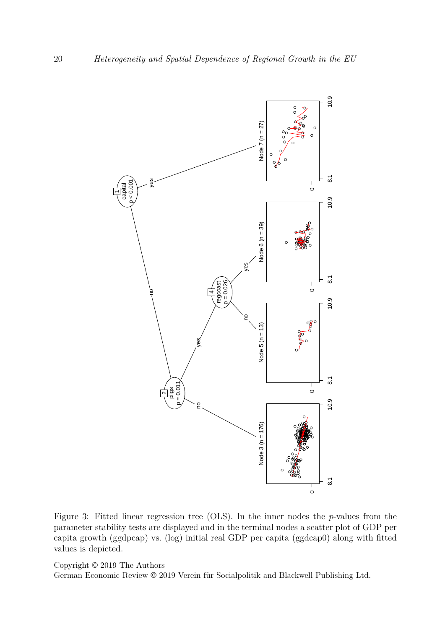

<span id="page-19-0"></span>Figure 3: Fitted linear regression tree (OLS). In the inner nodes the *p*-values from the parameter stability tests are displayed and in the terminal nodes a scatter plot of GDP per capita growth (ggdpcap) vs. (log) initial real GDP per capita (ggdcap0) along with fitted values is depicted.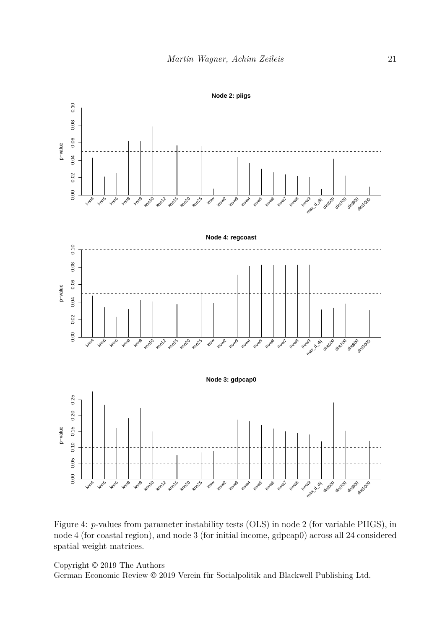

<span id="page-20-0"></span>Figure 4: *p*-values from parameter instability tests (OLS) in node 2 (for variable PIIGS), in node 4 (for coastal region), and node 3 (for initial income, gdpcap0) across all 24 considered spatial weight matrices.